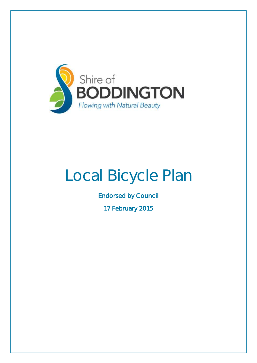

# Local Bicycle Plan

Endorsed by Council

17 February 2015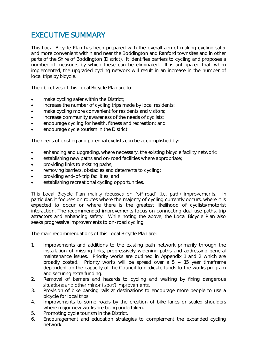### EXECUTIVE SUMMARY

This Local Bicycle Plan has been prepared with the overall aim of making cycling safer and more convenient within and near the Boddington and Ranford townsites and in other parts of the Shire of Boddington (District). It identifies barriers to cycling and proposes a number of measures by which these can be eliminated. It is anticipated that, when implemented, the upgraded cycling network will result in an increase in the number of local trips by bicycle.

The objectives of this Local Bicycle Plan are to:

- make cycling safer within the District;
- increase the number of cycling trips made by local residents;
- make cycling more convenient for residents and visitors;
- increase community awareness of the needs of cyclists;
- encourage cycling for health, fitness and recreation; and
- encourage cycle tourism in the District.

The needs of existing and potential cyclists can be accomplished by:

- enhancing and upgrading, where necessary, the existing bicycle facility network;
- establishing new paths and on-road facilities where appropriate;
- providing links to existing paths;
- removing barriers, obstacles and deterrents to cycling;
- providing end-of-trip facilities; and
- establishing recreational cycling opportunities.

This Local Bicycle Plan mainly focusses on "off-road" (i.e. path) improvements. - Inparticular, it focuses on routes where the majority of cycling currently occurs, where it is expected to occur or where there is the greatest likelihood of cyclists/motorist interaction. The recommended improvements focus on connecting dual use paths, trip attractors and enhancing safety. While noting the above, the Local Bicycle Plan also seeks progressive improvements to on-road cycling.

The main recommendations of this Local Bicycle Plan are:

- 1. Improvements and additions to the existing path network primarily through the installation of missing links, progressively widening paths and addressing general maintenance issues. Priority works are outlined in Appendix 1 and 2 which are broadly costed. Priority works will be spread over a  $5 - 15$  year timeframe dependent on the capacity of the Council to dedicate funds to the works program and securing extra funding.
- 2. Removal of barriers and hazards to cycling and walking by fixing dangerous situations and other minor ('spot') improvements.
- 3. Provision of bike parking rails at destinations to encourage more people to use a bicycle for local trips.
- 4. Improvements to some roads by the creation of bike lanes or sealed shoulders where major new works are being undertaken.
- 5. Promoting cycle tourism in the District.
- 6. Encouragement and education strategies to complement the expanded cycling network.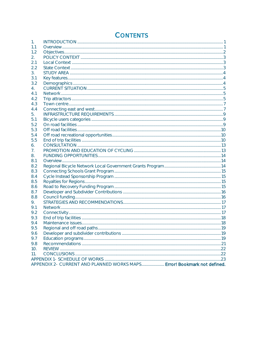### **CONTENTS**

| 1.             |                                                                         |  |  |  |  |
|----------------|-------------------------------------------------------------------------|--|--|--|--|
| 1.1            |                                                                         |  |  |  |  |
| 1.2            |                                                                         |  |  |  |  |
| 2.             |                                                                         |  |  |  |  |
| 2.1            |                                                                         |  |  |  |  |
| 2.2            |                                                                         |  |  |  |  |
| 3.             |                                                                         |  |  |  |  |
| 3.1            |                                                                         |  |  |  |  |
| 3.2            |                                                                         |  |  |  |  |
| 4.             |                                                                         |  |  |  |  |
| 4.1            |                                                                         |  |  |  |  |
| 4.2            |                                                                         |  |  |  |  |
| 4.3            |                                                                         |  |  |  |  |
| 4.4            |                                                                         |  |  |  |  |
| 5 <sub>1</sub> |                                                                         |  |  |  |  |
| 5.1            |                                                                         |  |  |  |  |
| 5.2            |                                                                         |  |  |  |  |
| 5.3            |                                                                         |  |  |  |  |
| 5.4            |                                                                         |  |  |  |  |
| 5.5            |                                                                         |  |  |  |  |
| 6.             |                                                                         |  |  |  |  |
| 7.             |                                                                         |  |  |  |  |
| 8.             |                                                                         |  |  |  |  |
| 8.1            |                                                                         |  |  |  |  |
| 8.2            |                                                                         |  |  |  |  |
| 8.3            |                                                                         |  |  |  |  |
| 8.4            |                                                                         |  |  |  |  |
| 8.5            |                                                                         |  |  |  |  |
| 8.6            |                                                                         |  |  |  |  |
| 8.7            |                                                                         |  |  |  |  |
| 8.8            |                                                                         |  |  |  |  |
| 9.             |                                                                         |  |  |  |  |
| 9.1            |                                                                         |  |  |  |  |
| 9.2            |                                                                         |  |  |  |  |
| 9.3            |                                                                         |  |  |  |  |
| 9.4            |                                                                         |  |  |  |  |
| 9.5            |                                                                         |  |  |  |  |
| 9.6            | Developer and subdivider contributions.                                 |  |  |  |  |
| 9.7            |                                                                         |  |  |  |  |
| 9.8            |                                                                         |  |  |  |  |
| 10.            |                                                                         |  |  |  |  |
| 11.            |                                                                         |  |  |  |  |
|                | APPENDIX 2- CURRENT AND PLANNED WORKS MAPS Error! Bookmark not defined. |  |  |  |  |
|                |                                                                         |  |  |  |  |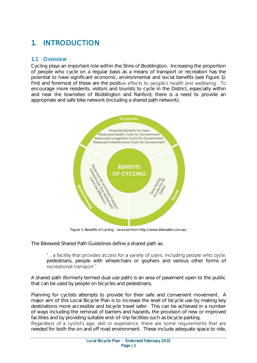# <span id="page-3-0"></span>1. INTRODUCTION

### <span id="page-3-1"></span>1.1 OVERVIEW

Cycling plays an important role within the Shire of Boddington. Increasing the proportion of people who cycle on a regular basis as a means of transport or recreation has the potential to have significant economic, environmental and social benefits (see Figure 1). First and foremost of these are the positive effects to people's health and wellbeing. To encourage more residents, visitors and tourists to cycle in the District, especially within and near the townsites of Boddington and Ranford, there is a need to provide an appropriate and safe bike network (including a shared path network).



Figure 1: Benefits of cycling - sourced from http://www.bikevalet.com.au/

The Bikewest Shared Path Guidelines define a shared path as:

"... a facility that provides access for a variety of users, including people who cycle, pedestrians, people with wheelchairs or gophers and various other forms of recreational transport"

A shared path (formerly termed dual use path) is an area of pavement open to the public that can be used by people on bicycles and pedestrians.

Planning for cyclists attempts to provide for their safe and convenient movement. A major aim of this Local Bicycle Plan is to increase the level of bicycle use by making key destinations more accessible and bicycle travel safer. This can be achieved in a number of ways including the removal of barriers and hazards, the provision of new or improved facilities and by providing suitable end-of-trip facilities such as bicycle parking.

Regardless of a cyclist's age, skill or experience, there are some requirements that are needed for both the on and off road environment. These include adequate space to ride,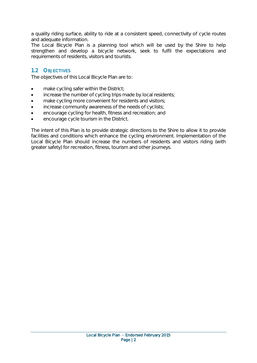a quality riding surface, ability to ride at a consistent speed, connectivity of cycle routes and adequate information.

The Local Bicycle Plan is a planning tool which will be used by the Shire to help strengthen and develop a bicycle network, seek to fulfil the expectations and requirements of residents, visitors and tourists.

### <span id="page-4-0"></span>1.2 OBJECTIVES

The objectives of this Local Bicycle Plan are to:

- make cycling safer within the District;
- increase the number of cycling trips made by local residents;
- make cycling more convenient for residents and visitors;
- increase community awareness of the needs of cyclists;
- encourage cycling for health, fitness and recreation; and
- encourage cycle tourism in the District.

The intent of this Plan is to provide strategic directions to the Shire to allow it to provide facilities and conditions which enhance the cycling environment. Implementation of the Local Bicycle Plan should increase the numbers of residents and visitors riding (with greater safety) for recreation, fitness, tourism and other journeys.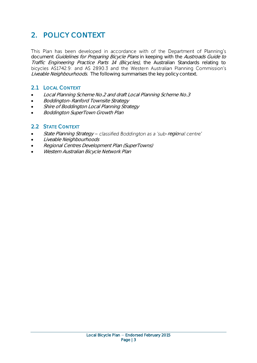# <span id="page-5-0"></span>2. POLICY CONTEXT

This Plan has been developed in accordance with of the Department of Planning's document Guidelines for Preparing Bicycle Plans in keeping with the Austroads Guide to Traffic Engineering Practice Parts 14 (Bicycles), the Australian Standards relating to bicycles AS1742.9: and AS 2890.3 and the Western Australian Planning Commission's Liveable Neighbourhoods. The following summarises the key policy context.

### <span id="page-5-1"></span>2.1 LOCAL CONTEXT

- Local Planning Scheme No.2 and draft Local Planning Scheme No.3
- Boddington-Ranford Townsite Strategy
- Shire of Boddington Local Planning Strategy
- <span id="page-5-2"></span>Boddington SuperTown Growth Plan

### 2.2 STATE CONTEXT

- State Planning Strategy classified Boddington as a 'sub-regional centre'
- Liveable Neighbourhoods
- Regional Centres Development Plan (SuperTowns)
- Western Australian Bicycle Network Plan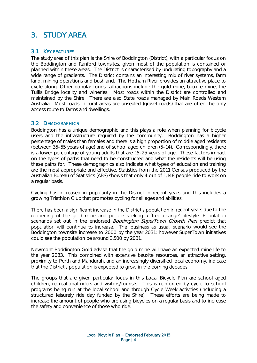## <span id="page-6-0"></span>3. STUDY AREA

### <span id="page-6-1"></span>3.1 KEY FEATURES

The study area of this plan is the Shire of Boddington (District), with a particular focus on the Boddington and Ranford townsites, given most of the population is contained or planned within these areas. The District is characterised by undulating topography and a wide range of gradients. The District contains an interesting mix of river systems, farm land, mining operations and bushland. The Hotham River provides an attractive place to cycle along. Other popular tourist attractions include the gold mine, bauxite mine, the Tullis Bridge locality and wineries. Most roads within the District are controlled and maintained by the Shire. There are also State roads managed by Main Roads Western Australia. Most roads in rural areas are unsealed (gravel roads) that are often the only access route to farms and dwellings.

### <span id="page-6-2"></span>3.2 DEMOGRAPHICS

Boddington has a unique demographic and this plays a role when planning for bicycle users and the infrastructure required by the community. Boddington has a higher percentage of males than females and there is a high proportion of middle aged residents (between 35-55 years of age) and of school aged children (5-14). Correspondingly, there is a lower percentage of young adults that are 15-25 years of age. These factors impact on the types of paths that need to be constructed and what the residents will be using these paths for. These demographics also indicate what types of education and training are the most appropriate and effective. Statistics from the 2011 Census produced by the Australian Bureau of Statistics (ABS) shows that only 4 out of 1,148 people ride to work on a regular basis.

Cycling has increased in popularity in the District in recent years and this includes a growing Triathlon Club that promotes cycling for all ages and abilities.

There has been a significant increase in the District's population in recent years due to the reopening of the gold mine and people seeking a 'tree change' lifestyle. Population scenarios set out in the endorsed *Boddinaton SuperTown Growth Plan* predict that population will continue to increase. The 'business as usual' scenario would see the Boddington townsite increase to 2000 by the year 2031; however SuperTown initiatives could see the population be around 3,500 by 2031.

Newmont Boddington Gold advise that the gold mine will have an expected mine life to the year 2033. This combined with extensive bauxite resources, an attractive setting, proximity to Perth and Mandurah, and an increasingly diversified local economy, indicate that the District's population is expected to grow in the coming decades.

The groups that are given particular focus in this Local Bicycle Plan are school aged children, recreational riders and visitors/tourists. This is reinforced by cycle to school programs being run at the local school and through Cycle Week activities (including a structured leisurely ride day funded by the Shire). These efforts are being made to increase the amount of people who are using bicycles on a regular basis and to increase the safety and convenience of those who ride.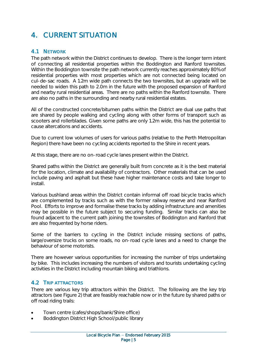### <span id="page-7-0"></span>4. CURRENT SITUATION

### <span id="page-7-1"></span>4.1 NETWORK

The path network within the District continues to develop. There is the longer term intent of connecting all residential properties within the Boddington and Ranford townsites. Within the Boddington townsite the path network currently reaches approximately 80% of residential properties with most properties which are not connected being located on cul-de-sac roads. A 1.2m wide path connects the two townsites, but an upgrade will be needed to widen this path to 2.0m in the future with the proposed expansion of Ranford and nearby rural residential areas. There are no paths within the Ranford townsite. There are also no paths in the surrounding and nearby rural residential estates.

All of the constructed concrete/bitumen paths within the District are dual use paths that are shared by people walking and cycling along with other forms of transport such as scooters and rollerblades. Given some paths are only 1.2m wide, this has the potential to cause altercations and accidents.

Due to current low volumes of users for various paths (relative to the Perth Metropolitan Region) there have been no cycling accidents reported to the Shire in recent years.

At this stage, there are no on-road cycle lanes present within the District.

Shared paths within the District are generally built from concrete as it is the best material for the location, climate and availability of contractors. Other materials that can be used include paving and asphalt but these have higher maintenance costs and take longer to install.

Various bushland areas within the District contain informal off road bicycle tracks which are complemented by tracks such as with the former railway reserve and near Ranford Pool. Efforts to improve and formalise these tracks by adding infrastructure and amenities may be possible in the future subject to securing funding. Similar tracks can also be found adjacent to the current path joining the townsites of Boddington and Ranford that are also frequented by horse riders.

Some of the barriers to cycling in the District include missing sections of paths, large/oversize trucks on some roads, no on-road cycle lanes and a need to change the behaviour of some motorists.

There are however various opportunities for increasing the number of trips undertaking by bike. This includes increasing the numbers of visitors and tourists undertaking cycling activities in the District including mountain biking and triathlons.

### <span id="page-7-2"></span>4.2 TRIP ATTRACTORS

There are various key trip attractors within the District. The following are the key trip attractors (see Figure 2) that are feasibly reachable now or in the future by shared paths or off road riding trails:

- Town centre (cafes/shops/bank/Shire office)
- Boddington District High School/public library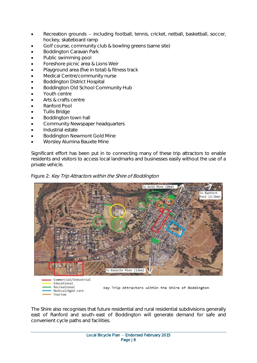- Recreation grounds including football, tennis, cricket, netball, basketball, soccer, hockey, skateboard ramp
- Golf course, community club & bowling greens (same site)
- Boddington Caravan Park
- Public swimming pool
- Foreshore picnic area & Lions Weir
- Playground area (five in total) & fitness track
- Medical Centre/community nurse
- Boddington District Hospital
- Boddington Old School Community Hub
- Youth centre
- Arts & crafts centre
- Ranford Pool
- Tullis Bridge
- Boddington town hall
- Community Newspaper headquarters
- Industrial estate
- Boddington Newmont Gold Mine
- Worsley Alumina Bauxite Mine

Significant effort has been put in to connecting many of these trip attractors to enable residents and visitors to access local landmarks and businesses easily without the use of a private vehicle.





The Shire also recognises that future residential and rural residential subdivisions generally east of Ranford and south-east of Boddington will generate demand for safe and convenient cycle paths and facilities.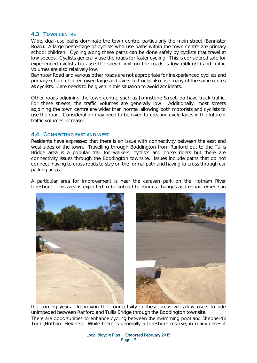### <span id="page-9-0"></span>4.3 TOWN CENTRE

Wide, dual-use paths dominate the town centre, particularly the main street (Bannister Road). A large percentage of cyclists who use paths within the town centre are primary school children. Cycling along these paths can be done safely by cyclists that travel at low speeds. Cyclists generally use the roads for faster cycling. This is considered safe for experienced cyclists because the speed limit on the roads is low (50km/h) and traffic volumes are also relatively low.

Bannister Road and various other roads are not appropriate for inexperienced cyclists and primary school children given large and oversize trucks also use many of the same routes as cyclists. Care needs to be given in this situation to avoid accidents.

Other roads adjoining the town centre, such as Johnstone Street, do have truck traffic. For these streets, the traffic volumes are generally low. Additionally, most streets adjoining the town centre are wider than normal allowing both motorists and cyclists to use the road. Consideration may need to be given to creating cycle lanes in the future if traffic volumes increase.

#### <span id="page-9-1"></span>4.4 CONNECTING EAST AND WEST

Residents have expressed that there is an issue with connectivity between the east and west sides of the town. Travelling through Boddington from Ranford out to the Tullis Bridge area is a popular trail for walkers, cyclists and horse riders but there are connectivity issues through the Boddington townsite. Issues include paths that do not connect, having to cross roads to stay on the formal path and having to cross through car parking areas.

A particular area for improvement is near the caravan park on the Hotham River foreshore. This area is expected to be subject to various changes and enhancements in



the coming years. Improving the connectivity in these areas will allow users to ride unimpeded between Ranford and Tullis Bridge through the Boddington townsite. There are opportunities to enhance cycling between the swimming pool and Shepherd's Turn (Hotham Heights). While there is generally a foreshore reserve, in many cases it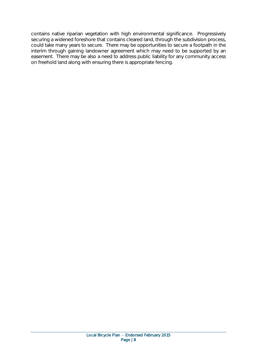contains native riparian vegetation with high environmental significance. Progressively securing a widened foreshore that contains cleared land, through the subdivision process, could take many years to secure. There may be opportunities to secure a footpath in the interim through gaining landowner agreement which may need to be supported by an easement. There may be also a need to address public liability for any community access on freehold land along with ensuring there is appropriate fencing.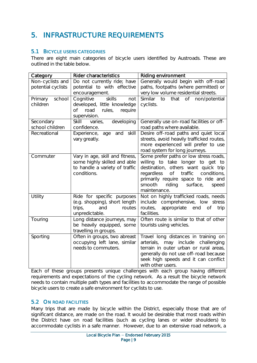# <span id="page-11-0"></span>5. INFRASTRUCTURE REQUIREMENTS

### <span id="page-11-1"></span>5.1 BICYCLE USERS CATEGORIES

There are eight main categories of bicycle users identified by Austroads. These are outlined in the table below.

| Category                               | <b>Rider characteristics</b>                                                                                     | Riding environment                                                                                                                                                                                                                                           |  |
|----------------------------------------|------------------------------------------------------------------------------------------------------------------|--------------------------------------------------------------------------------------------------------------------------------------------------------------------------------------------------------------------------------------------------------------|--|
| Non-cyclists and<br>potential cyclists | Do not currently ride; have<br>potential to with effective<br>encouragement.                                     | Generally would begin with off-road<br>paths, footpaths (where permitted) or<br>very low volume residential streets.                                                                                                                                         |  |
| school<br>Primary<br>children          | skills<br>Cognitive<br>not<br>developed, little knowledge<br>road<br>Оf<br>rules,<br>require<br>supervision.     | Similar<br>that<br>Оf<br>non/potential<br>to<br>cyclists.                                                                                                                                                                                                    |  |
| Secondary<br>school children           | developing<br>Skill<br>varies,<br>confidence.                                                                    | Generally use on-road facilities or off-<br>road paths where available.                                                                                                                                                                                      |  |
| Recreational                           | Experience,<br>and skill<br>age<br>vary greatly.                                                                 | Desire off-road paths and quiet local<br>streets, avoid heavily trafficked routes,<br>more experienced will prefer to use<br>road system for long journeys.                                                                                                  |  |
| Commuter                               | Vary in age, skill and fitness,<br>some highly skilled and able<br>to handle a variety of traffic<br>conditions. | Some prefer paths or low stress roads,<br>willing to take longer to get to<br>destination, others want quick trip<br>of traffic<br>conditions,<br>regardless<br>primarily require space to ride and<br>smooth<br>riding<br>surface,<br>speed<br>maintenance. |  |
| Utility                                | Ride for specific purposes<br>(e.g. shopping), short length<br>trips,<br>and<br>routes<br>unpredictable.         | Not on highly trafficked roads, needs<br>include comprehensive, low stress<br>routes,<br>appropriate<br>end<br><b>of</b><br>trip<br>facilities.                                                                                                              |  |
| Touring                                | Long distance journeys, may<br>be heavily equipped, some<br>travelling in groups.                                | Often route is similar to that of other<br>tourists using vehicles.                                                                                                                                                                                          |  |
| Sporting                               | Often in groups, two abreast<br>occupying left lane, similar<br>needs to commuters.                              | Travel long distances in training on<br>may include<br>arterials,<br>challenging<br>terrain in outer urban or rural areas,<br>generally do not use off-road because<br>seek high speeds and it can conflict<br>with other users.                             |  |

Each of these groups presents unique challenges with each group having different requirements and expectations of the cycling network. As a result the bicycle network needs to contain multiple path types and facilities to accommodate the range of possible bicycle users to create a safe environment for cyclists to use.

### <span id="page-11-2"></span>5.2 ON ROAD FACILITIES

Many trips that are made by bicycle within the District, especially those that are of significant distance, are made on the road. It would be desirable that most roads within the District have on road facilities (such as cycling lanes or wider shoulders) to accommodate cyclists in a safe manner. However, due to an extensive road network, a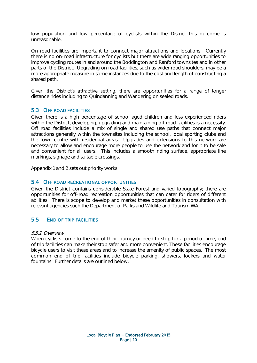low population and low percentage of cyclists within the District this outcome is unreasonable.

On road facilities are important to connect major attractions and locations. Currently there is no on-road infrastructure for cyclists but there are wide ranging opportunities to improve cycling routes in and around the Boddington and Ranford townsites and in other parts of the District. Upgrading on road facilities, such as wider road shoulders, may be a more appropriate measure in some instances due to the cost and length of constructing a shared path.

Given the District's attractive setting, there are opportunities for a range of longer distance rides including to Quindanning and Wandering on sealed roads.

### <span id="page-12-0"></span>5.3 OFF ROAD FACILITIES

Given there is a high percentage of school aged children and less experienced riders within the District, developing, upgrading and maintaining off road facilities is a necessity. Off road facilities include a mix of single and shared use paths that connect major attractions generally within the townsites including the school, local sporting clubs and the town centre with residential areas. Upgrades and extensions to this network are necessary to allow and encourage more people to use the network and for it to be safe and convenient for all users. This includes a smooth riding surface, appropriate line markings, signage and suitable crossings.

<span id="page-12-1"></span>Appendix 1 and 2 sets out priority works.

### 5.4 OFF ROAD RECREATIONAL OPPORTUNITIES

Given the District contains considerable State Forest and varied topography; there are opportunities for off-road recreation opportunities that can cater for riders of different abilities. There is scope to develop and market these opportunities in consultation with relevant agencies such the Department of Parks and Wildlife and Tourism WA.

#### <span id="page-12-2"></span>5.5 END OF TRIP FACILITIES

#### 5.5.1 Overview

When cyclists come to the end of their journey or need to stop for a period of time, end of trip facilities can make their stop safer and more convenient. These facilities encourage bicycle users to visit these areas and to increase the amenity of public spaces. The most common end of trip facilities include bicycle parking, showers, lockers and water fountains. Further details are outlined below.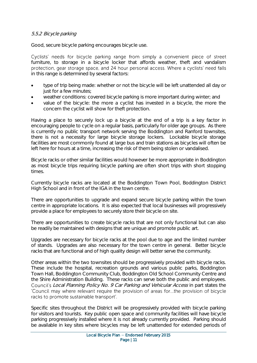#### 5.5.2 Bicycle parking

Good, secure bicycle parking encourages bicycle use.

Cyclists' needs for bicycle parking range from simply a convenient piece of street furniture, to storage in a bicycle locker that affords weather, theft and vandalism protection, gear storage space, and 24 hour personal access. Where a cyclists' need falls in this range is determined by several factors:

- type of trip being made: whether or not the bicycle will be left unattended all day or just for a few minutes;
- weather conditions: covered bicycle parking is more important during winter; and
- value of the bicycle: the more a cyclist has invested in a bicycle, the more the concern the cyclist will show for theft protection.

Having a place to securely lock up a bicycle at the end of a trip is a key factor in encouraging people to cycle on a regular basis, particularly for older age groups. As there is currently no public transport network serving the Boddington and Ranford townsites, there is not a necessity for large bicycle storage lockers. Lockable bicycle storage facilities are most commonly found at large bus and train stations as bicycles will often be left here for hours at a time, increasing the risk of them being stolen or vandalised.

Bicycle racks or other similar facilities would however be more appropriate in Boddington as most bicycle trips requiring bicycle parking are often short trips with short stopping times.

Currently bicycle racks are located at the Boddington Town Pool, Boddington District High School and in front of the IGA in the town centre.

There are opportunities to upgrade and expand secure bicycle parking within the town centre in appropriate locations. It is also expected that local businesses will progressively provide a place for employees to securely store their bicycle on site.

There are opportunities to create bicycle racks that are not only functional but can also be readily be maintained with designs that are unique and promote public art.

Upgrades are necessary for bicycle racks at the pool due to age and the limited number of stands. Upgrades are also necessary for the town centre in general. Better bicycle racks that are functional and of high quality design will better serve the community.

Other areas within the two townsites should be progressively provided with bicycle racks. These include the hospital, recreation grounds and various public parks, Boddington Town Hall, Boddington Community Club, Boddington Old School Community Centre and the Shire Administration Building. These racks can serve both the public and employees. Local Planning Policy No. 9 Car Parking and Vehicular Access in part states the 'Council may where relevant require the provision of areas for...the provision of bicycle racks to promote sustainable transport'.

Specific sites throughout the District will be progressively provided with bicycle parking for visitors and tourists. Key public open space and community facilities will have bicycle parking progressively installed where it is not already currently provided. Parking should be available in key sites where bicycles may be left unattended for extended periods of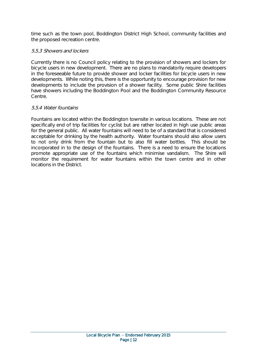time such as the town pool, Boddington District High School, community facilities and the proposed recreation centre.

### 5.5.3 Showers and lockers

Currently there is no Council policy relating to the provision of showers and lockers for bicycle users in new development. There are no plans to mandatorily require developers in the foreseeable future to provide shower and locker facilities for bicycle users in new developments. While noting this, there is the opportunity to encourage provision for new developments to include the provision of a shower facility. Some public Shire facilities have showers including the Boddington Pool and the Boddington Community Resource Centre.

#### 5.5.4 Water fountains

Fountains are located within the Boddington townsite in various locations. These are not specifically end of trip facilities for cyclist but are rather located in high use public areas for the general public. All water fountains will need to be of a standard that is considered acceptable for drinking by the health authority. Water fountains should also allow users to not only drink from the fountain but to also fill water bottles. This should be incorporated in to the design of the fountains. There is a need to ensure the locations promote appropriate use of the fountains which minimise vandalism. The Shire will monitor the requirement for water fountains within the town centre and in other locations in the District.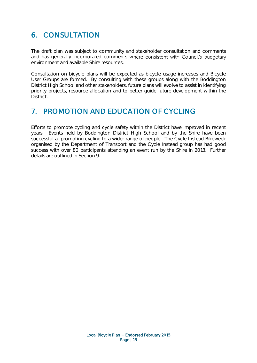# <span id="page-15-0"></span>6. CONSULTATION

The draft plan was subject to community and stakeholder consultation and comments and has generally incorporated comments where consistent with Council's budgetary environment and available Shire resources.

Consultation on bicycle plans will be expected as bicycle usage increases and Bicycle User Groups are formed. By consulting with these groups along with the Boddington District High School and other stakeholders, future plans will evolve to assist in identifying priority projects, resource allocation and to better guide future development within the District.

### <span id="page-15-1"></span>7. PROMOTION AND EDUCATION OF CYCLING

Efforts to promote cycling and cycle safety within the District have improved in recent years. Events held by Boddington District High School and by the Shire have been successful at promoting cycling to a wider range of people. The Cycle Instead Bikeweek organised by the Department of Transport and the Cycle Instead group has had good success with over 80 participants attending an event run by the Shire in 2013. Further details are outlined in Section 9.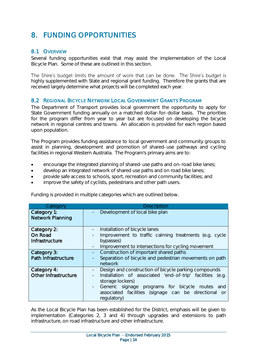# <span id="page-16-0"></span>8. FUNDING OPPORTUNITIES

### <span id="page-16-1"></span>8.1 OVERVIEW

Several funding opportunities exist that may assist the implementation of the Local Bicycle Plan. Some of these are outlined in this section.

The Shire's budget limits the amount of work that can be done. The Shire's budget is highly supplemented with State and regional grant funding. Therefore the grants that are received largely determine what projects will be completed each year.

### <span id="page-16-2"></span>8.2 REGIONAL BICYCLE NETWORK LOCAL GOVERNMENT GRANTS PROGRAM

The Department of Transport provides local government the opportunity to apply for State Government funding annually on a matched dollar-for-dollar basis. The priorities for the program differ from year to year but are focused on developing the bicycle network in regional centres and towns. An allocation is provided for each region based upon population.

The Program provides funding assistance to local government and community groups to assist in planning, development and promotion of shared-use pathways and cycling facilities in regional Western Australia. The Program's primary aims are to:

- encourage the integrated planning of shared-use paths and on-road bike lanes;
- develop an integrated network of shared use paths and on road bike lanes;
- provide safe access to schools, sport, recreation and community facilities; and
- improve the safety of cyclists, pedestrians and other path users.

Funding is provided in multiple categories which are outlined below.

| Category                                 | <b>Description</b>                                                                                                                                                                                                                                                    |
|------------------------------------------|-----------------------------------------------------------------------------------------------------------------------------------------------------------------------------------------------------------------------------------------------------------------------|
| Category 1:<br><b>Network Planning</b>   | Development of local bike plan                                                                                                                                                                                                                                        |
| Category 2:<br>On Road<br>Infrastructure | Installation of bicycle lanes<br>Improvement to traffic calming treatments (e.g. cycle<br>bypasses)<br>Improvement to intersections for cycling movement                                                                                                              |
| Category 3:<br>Path Infrastructure       | Construction of important shared paths<br>Separation of bicycle and pedestrian movements on path<br>network                                                                                                                                                           |
| Category 4:<br>Other Infrastructure      | Design and construction of bicycle parking compounds<br>Installation of associated 'end-of-trip' facilities<br>(e.q.<br>storage lockers)<br>Generic signage programs for bicycle routes<br>and<br>associated facilities (signage can be directional or<br>regulatory) |

As the Local Bicycle Plan has been established for the District, emphasis will be given to implementation (Categories 2, 3 and 4) through upgrades and extensions to path infrastructure, on road infrastructure and other infrastructure.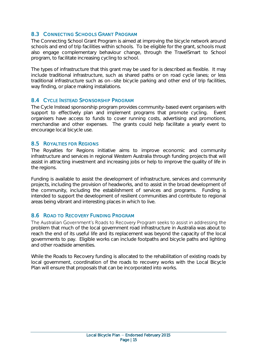### <span id="page-17-0"></span>8.3 CONNECTING SCHOOLS GRANT PROGRAM

The Connecting School Grant Program is aimed at improving the bicycle network around schools and end of trip facilities within schools. To be eligible for the grant, schools must also engage complementary behaviour change, through the TravelSmart to School program, to facilitate increasing cycling to school.

The types of infrastructure that this grant may be used for is described as flexible. It may include traditional infrastructure, such as shared paths or on road cycle lanes; or less traditional infrastructure such as on–site bicycle parking and other end of trip facilities, way finding, or place making installations.

### <span id="page-17-1"></span>8.4 CYCLE INSTEAD SPONSORSHIP PROGRAM

The Cycle Instead sponsorship program provides community-based event organisers with support to effectively plan and implement programs that promote cycling. Event organisers have access to funds to cover running costs, advertising and promotions, merchandise and other expenses. The grants could help facilitate a yearly event to encourage local bicycle use.

### <span id="page-17-2"></span>8.5 ROYALTIES FOR REGIONS

The Royalties for Regions initiative aims to improve economic and community infrastructure and services in regional Western Australia through funding projects that will assist in attracting investment and increasing jobs or help to improve the quality of life in the regions.

Funding is available to assist the development of infrastructure, services and community projects, including the provision of headworks, and to assist in the broad development of the community, including the establishment of services and programs. Funding is intended to support the development of resilient communities and contribute to regional areas being vibrant and interesting places in which to live.

### <span id="page-17-3"></span>8.6 ROAD TO RECOVERY FUNDING PROGRAM

The Australian Government's Roads to Recovery Program seeks to assist in addressing the problem that much of the local government road infrastructure in Australia was about to reach the end of its useful life and its replacement was beyond the capacity of the local governments to pay. Eligible works can include footpaths and bicycle paths and lighting and other roadside amenities.

While the Roads to Recovery funding is allocated to the rehabilitation of existing roads by local government, coordination of the roads to recovery works with the Local Bicycle Plan will ensure that proposals that can be incorporated into works.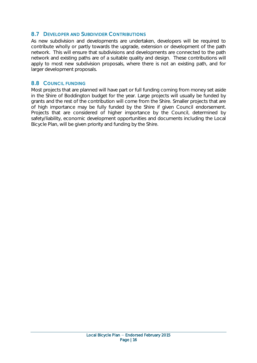### <span id="page-18-0"></span>8.7 DEVELOPER AND SUBDIVIDER CONTRIBUTIONS

As new subdivision and developments are undertaken, developers will be required to contribute wholly or partly towards the upgrade, extension or development of the path network. This will ensure that subdivisions and developments are connected to the path network and existing paths are of a suitable quality and design. These contributions will apply to most new subdivision proposals, where there is not an existing path, and for larger development proposals.

### <span id="page-18-1"></span>8.8 COUNCIL FUNDING

Most projects that are planned will have part or full funding coming from money set aside in the Shire of Boddington budget for the year. Large projects will usually be funded by grants and the rest of the contribution will come from the Shire. Smaller projects that are of high importance may be fully funded by the Shire if given Council endorsement. Projects that are considered of higher importance by the Council, determined by safety/liability, economic development opportunities and documents including the Local Bicycle Plan, will be given priority and funding by the Shire.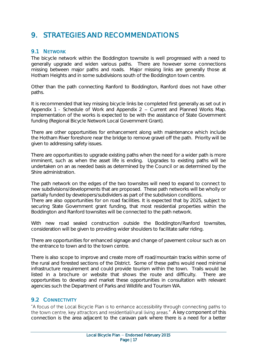### <span id="page-19-0"></span>9. STRATEGIES AND RECOMMENDATIONS

### <span id="page-19-1"></span>9.1 NETWORK

The bicycle network within the Boddington townsite is well progressed with a need to generally upgrade and widen various paths. There are however some connections missing between major paths and roads. Major missing links are generally those at Hotham Heights and in some subdivisions south of the Boddington town centre.

Other than the path connecting Ranford to Boddington, Ranford does not have other paths.

It is recommended that key missing bicycle links be completed first generally as set out in Appendix 1 - Schedule of Work and Appendix 2  $-$  Current and Planned Works Map. Implementation of the works is expected to be with the assistance of State Government funding (Regional Bicycle Network Local Government Grant).

There are other opportunities for enhancement along with maintenance which include the Hotham River foreshore near the bridge to remove gravel off the path. Priority will be given to addressing safety issues.

There are opportunities to upgrade existing paths when the need for a wider path is more imminent, such as when the asset life is ending. Upgrades to existing paths will be undertaken on an as needed basis as determined by the Council or as determined by the Shire administration.

The path network on the edges of the two townsites will need to expand to connect to new subdivisions/developments that are proposed. These path networks will be wholly or partially funded by developers/subdividers as part of the subdivision conditions.

There are also opportunities for on road facilities. It is expected that by 2025, subject to securing State Government grant funding, that most residential properties within the Boddington and Ranford townsites will be connected to the path network.

With new road sealed construction outside the Boddington/Ranford townsites, consideration will be given to providing wider shoulders to facilitate safer riding.

There are opportunities for enhanced signage and change of pavement colour such as on the entrance to town and to the town centre.

There is also scope to improve and create more off road/mountain tracks within some of the rural and forested sections of the District. Some of these paths would need minimal infrastructure requirement and could provide tourism within the town. Trails would be listed in a brochure or website that shows the route and difficulty. There are opportunities to develop and market these opportunities in consultation with relevant agencies such the Department of Parks and Wildlife and Tourism WA.

### <span id="page-19-2"></span>9.2 CONNECTIVITY

"A focus of the Local Bicycle Plan is to enhance accessibility through connecting paths to the town centre, key attractors and residential/rural living areas." A key component of this connection is the area adjacent to the caravan park where there is a need for a better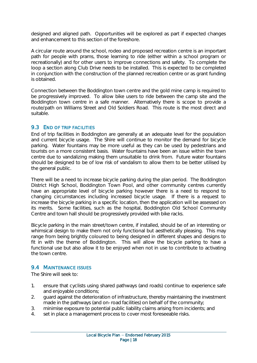designed and aligned path. Opportunities will be explored as part if expected changes and enhancement to this section of the foreshore.

A circular route around the school, rodeo and proposed recreation centre is an important path for people with prams, those learning to ride (either within a school program or recreationally) and for other users to improve connections and safety. To complete the loop a section along Club Drive needs to be installed. This is expected to be completed in conjunction with the construction of the planned recreation centre or as grant funding is obtained.

Connection between the Boddington town centre and the gold mine camp is required to be progressively improved. To allow bike users to ride between the camp site and the Boddington town centre in a safe manner. Alternatively there is scope to provide a route/path on Williams Street and Old Soldiers Road. This route is the most direct and suitable.

### <span id="page-20-0"></span>9.3 END OF TRIP FACILITIES

End of trip facilities in Boddington are generally at an adequate level for the population and current bicycle usage. The Shire will continue to monitor the demand for bicycle parking. Water fountains may be more useful as they can be used by pedestrians and tourists on a more consistent basis. Water fountains have been an issue within the town centre due to vandalizing making them unsuitable to drink from. Future water fountains should be designed to be of low risk of vandalism to allow them to be better utilised by the general public.

There will be a need to increase bicycle parking during the plan period. The Boddington District High School, Boddington Town Pool, and other community centres currently have an appropriate level of bicycle parking however there is a need to respond to changing circumstances including increased bicycle usage. If there is a request to increase the bicycle parking in a specific location, then the application will be assessed on its merits. Some facilities, such as the hospital, Boddington Old School Community Centre and town hall should be progressively provided with bike racks.

Bicycle parking in the main street/town centre, if installed, should be of an interesting or whimsical design to make them not only functional but aesthetically pleasing. This may range from being brightly coloured to being designed in different shapes and designs to fit in with the theme of Boddington. This will allow the bicycle parking to have a functional use but also allow it to be enjoyed when not in use to contribute to activating the town centre.

### <span id="page-20-1"></span>9.4 MAINTENANCE ISSUES

The Shire will seek to:

- 1. ensure that cyclists using shared pathways (and roads) continue to experience safe and enjoyable conditions;
- 2. guard against the deterioration of infrastructure, thereby maintaining the investment made in the pathways (and on-road facilities) on behalf of the community;
- 3. minimise exposure to potential public liability claims arising from incidents; and
- 4. set in place a management process to cover most foreseeable risks.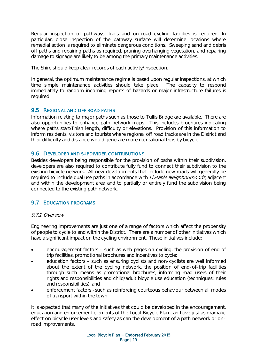Regular inspection of pathways, trails and on-road cycling facilities is required. In particular, close inspection of the pathway surface will determine locations where remedial action is required to eliminate dangerous conditions. Sweeping sand and debris off paths and repairing paths as required, pruning overhanging vegetation, and repairing damage to signage are likely to be among the primary maintenance activities.

The Shire should keep clear records of each activity/inspection.

In general, the optimum maintenance regime is based upon regular inspections, at which time simple maintenance activities should take place. The capacity to respond immediately to random incoming reports of hazards or major infrastructure failures is required.

### <span id="page-21-0"></span>9.5 REGIONAL AND OFF ROAD PATHS

Information relating to major paths such as those to Tullis Bridge are available. There are also opportunities to enhance path network maps. This includes brochures indicating where paths start/finish length, difficulty or elevations. Provision of this information to inform residents, visitors and tourists where regional off road tracks are in the District and their difficulty and distance would generate more recreational trips by bicycle.

### <span id="page-21-1"></span>9.6 DEVELOPER AND SUBDIVIDER CONTRIBUTIONS

Besides developers being responsible for the provision of paths within their subdivision, developers are also required to contribute fully fund to connect their subdivision to the existing bicycle network. All new developments that include new roads will generally be required to include dual use paths in accordance with *Liveable Neighbourhoods*, adjacent and within the development area and to partially or entirely fund the subdivision being connected to the existing path network.

### <span id="page-21-2"></span>9.7 EDUCATION PROGRAMS

### 9.7.1 Overview

Engineering improvements are just one of a range of factors which affect the propensity of people to cycle to and within the District. There are a number of other initiatives which have a significant impact on the cycling environment. These initiatives include:

- encouragement factors such as web pages on cycling, the provision of end of trip facilities, promotional brochures and incentives to cycle;
- education factors such as ensuring cyclists and non-cyclists are well informed about the extent of the cycling network, the position of end-of-trip facilities through such means as promotional brochures, informing road users of their rights and responsibilities and child/adult bicycle use education (techniques; rules and responsibilities); and
- enforcement factors -such as reinforcing courteous behaviour between all modes of transport within the town.

It is expected that many of the initiatives that could be developed in the encouragement, education and enforcement elements of the Local Bicycle Plan can have just as dramatic effect on bicycle user levels and safety as can the development of a path network or onroad improvements.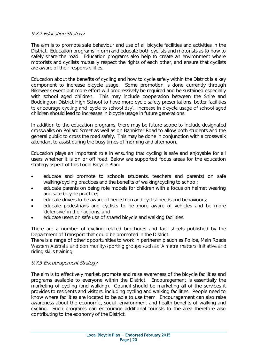### 9.7.2 Education Strategy

The aim is to promote safe behaviour and use of all bicycle facilities and activities in the District. Education programs inform and educate both cyclists and motorists as to how to safely share the road. Education programs also help to create an environment where motorists and cyclists mutually respect the rights of each other, and ensure that cyclists are aware of their responsibilities.

Education about the benefits of cycling and how to cycle safely within the District is a key component to increase bicycle usage. Some promotion is done currently through Bikeweek event but more effort will progressively be required and be sustained especially with school aged children. This may include cooperation between the Shire and Boddington District High School to have more cycle safety presentations, better facilities to encourage cycling and 'cycle to school day'. Increase in bicycle usage of school aged children should lead to increases in bicycle usage in future generations.

In addition to the education programs, there may be future scope to include designated crosswalks on Pollard Street as well as on Bannister Road to allow both students and the general public to cross the road safely. This may be done in conjunction with a crosswalk attendant to assist during the busy times of morning and afternoon.

Education plays an important role in ensuring that cycling is safe and enjoyable for all users whether it is on or off road. Below are supported focus areas for the education strategy aspect of this Local Bicycle Plan:

- educate and promote to schools (students, teachers and parents) on safe walking/cycling practices and the benefits of walking/cycling to school;
- educate parents on being role models for children with a focus on helmet wearing and safe bicycle practice;
- educate drivers to be aware of pedestrian and cyclist needs and behaviours;
- educate pedestrians and cyclists to be more aware of vehicles and be more 'defensive' in their actions; and
- educate users on safe use of shared bicycle and walking facilities.

There are a number of cycling related brochures and fact sheets published by the Department of Transport that could be promoted in the District.

There is a range of other opportunities to work in partnership such as Police, Main Roads Western Australia and community/sporting groups such as 'A metre matters' initiative and riding skills training.

#### 9.7.3 Encouragement Strategy

The aim is to effectively market, promote and raise awareness of the bicycle facilities and programs available to everyone within the District. Encouragement is essentially the marketing of cycling (and walking). Council should be marketing all of the services it provides to residents and visitors, including cycling and walking facilities. People need to know where facilities are located to be able to use them. Encouragement can also raise awareness about the economic, social, environment and health benefits of walking and cycling. Such programs can encourage additional tourists to the area therefore also contributing to the economy of the District.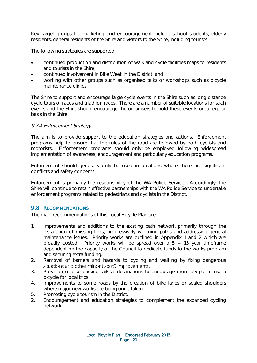Key target groups for marketing and encouragement include school students, elderly residents, general residents of the Shire and visitors to the Shire, including tourists.

The following strategies are supported:

- continued production and distribution of walk and cycle facilities maps to residents and tourists in the Shire;
- continued involvement in Bike Week in the District; and
- working with other groups such as organised talks or workshops such as bicycle maintenance clinics.

The Shire to support and encourage large cycle events in the Shire such as long distance cycle tours or races and triathlon races. There are a number of suitable locations for such events and the Shire should encourage the organisers to hold these events on a regular basis in the Shire.

#### 9.7.4 Enforcement Strategy

The aim is to provide support to the education strategies and actions. Enforcement programs help to ensure that the rules of the road are followed by both cyclists and motorists. Enforcement programs should only be employed following widespread implementation of awareness, encouragement and particularly education programs.

Enforcement should generally only be used in locations where there are significant conflicts and safety concerns.

Enforcement is primarily the responsibility of the WA Police Service. Accordingly, the Shire will continue to retain effective partnerships with the WA Police Service to undertake enforcement programs related to pedestrians and cyclists in the District.

### <span id="page-23-0"></span>9.8 RECOMMENDATIONS

The main recommendations of this Local Bicycle Plan are:

- 1. Improvements and additions to the existing path network primarily through the installation of missing links, progressively widening paths and addressing general maintenance issues. Priority works are outlined in Appendix 1 and 2 which are broadly costed. Priority works will be spread over a  $5 - 15$  year timeframe dependent on the capacity of the Council to dedicate funds to the works program and securing extra funding.
- 2. Removal of barriers and hazards to cycling and walking by fixing dangerous situations and other minor ('spot') improvements.
- 3. Provision of bike parking rails at destinations to encourage more people to use a bicycle for local trips.
- 4. Improvements to some roads by the creation of bike lanes or sealed shoulders where major new works are being undertaken.
- 5. Promoting cycle tourism in the District.
- 2. Encouragement and education strategies to complement the expanded cycling network.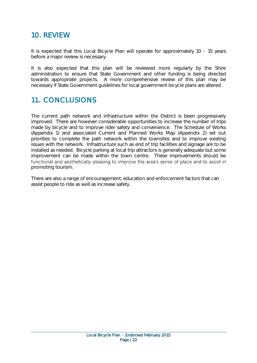### <span id="page-24-0"></span>10. REVIEW

It is expected that this Local Bicycle Plan will operate for approximately 10 - 15 years before a major review is necessary.

It is also expected that this plan will be reviewed more regularly by the Shire administration to ensure that State Government and other funding is being directed towards appropriate projects. A more comprehensive review of this plan may be necessary if State Government guidelines for local government bicycle plans are altered.

### <span id="page-24-1"></span>11. CONCLUSIONS

The current path network and infrastructure within the District is been progressively improved. There are however considerable opportunities to increase the number of trips made by bicycle and to improve rider safety and convenience. The Schedule of Works (Appendix 1) and associated Current and Planned Works Map (Appendix 2) set out priorities to complete the path network within the townsites and to improve existing issues with the network. Infrastructure such as end of trip facilities and signage are to be installed as needed. Bicycle parking at local trip attractors is generally adequate but some improvement can be made within the town centre. These improvements should be functional and aesthetically pleasing to improve the area's sense of place and to assist in promoting tourism.

There are also a range of encouragement, education and enforcement factors that can assist people to ride as well as increase safety.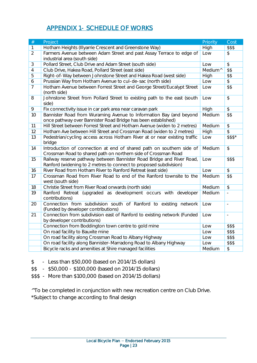### APPENDIX 1- SCHEDULE OF WORKS

<span id="page-25-0"></span>

| $\#$           | Project                                                                                                                                    | Priority            | Cost                     |
|----------------|--------------------------------------------------------------------------------------------------------------------------------------------|---------------------|--------------------------|
| $\mathbf{1}$   | Hotham Heights (Illyarrie Crescent and Greenstone Way)                                                                                     | High                | \$\$\$                   |
| $\overline{2}$ | Farmers Avenue between Adam Street and past Assay Terrace to edge of<br>industrial area (south side)                                       | Low                 | $\mathcal{L}$            |
| 3              | Pollard Street, Club Drive and Adam Street (south side)                                                                                    | Low                 | $\mathcal{L}$            |
| $\overline{4}$ | Club Drive, Hakea Road, Pollard Street (east side)                                                                                         | Medium <sup>^</sup> | \$4                      |
| 5              | Right-of-Way between Johnstone Street and Hakea Road (west side)                                                                           | High                | \$\$                     |
| 6              | Prussian Way from Hotham Avenue to cul-de-sac (north side)                                                                                 | Low                 | $\overline{\mathcal{L}}$ |
| $\overline{7}$ | Hotham Avenue between Forrest Street and George Street/Eucalypt Street<br>(north side)                                                     | Low                 | \$4                      |
| 8              | Johnstone Street from Pollard Street to existing path to the east (south<br>side)                                                          | Low                 | $\frac{1}{2}$            |
| 9              | Fix connectivity issue in car park area near caravan park                                                                                  | High                | $\mathcal{L}$            |
| 10             | Bannister Road from Wuraming Avenue to Information Bay (and beyond<br>once pathway over Bannister Road Bridge has been established)        | Medium              | \$\$                     |
| 11             | Hill Street between Forrest Street and Hotham Avenue (widen to 2 metres)                                                                   | Medium              | $\overline{\$}$          |
| 12             | Hotham Ave between Hill Street and Crossman Road (widen to 2 metres)                                                                       | High                | $\overline{\$}$          |
| 13             | Pedestrian/cycling access across Hotham River at or near existing traffic<br>bridge                                                        | Low                 | $$$ \$\$*                |
| 14             | Introduction of connection at end of shared path on southern side of<br>Crossman Road to shared path on northern side of Crossman Road     | Medium              | $\overline{\$}$          |
| 15             | Railway reserve pathway between Bannister Road Bridge and River Road,<br>Ranford (widening to 2 metres to connect to proposed subdivision) | Low                 | \$\$\$                   |
| 16             | River Road from Hotham River to Ranford Retreat (east side)                                                                                | Low                 | $\updownarrow$           |
| 17             | Crossman Road from River Road to end of the Ranford townsite to the<br>west (south side)                                                   | Medium              | \$5                      |
| 18             | Christie Street from River Road onwards (north side)                                                                                       | Medium              | $\mathcal{L}$            |
| 19             | Ranford Retreat (upgraded as development occurs with developer<br>contributions)                                                           | Medium              | $\frac{1}{2}$            |
| 20             | Connection from subdivision south of Ranford to existing network<br>(Funded by developer contributions)                                    | Low                 | $\bar{a}$                |
| 21             | Connection from subdivision east of Ranford to existing network (Funded<br>by developer contributions)                                     | Low                 | $\bar{a}$                |
|                | Connection from Boddington town centre to gold mine                                                                                        | Low                 | \$\$\$                   |
|                | On road facility to Bauxite mine                                                                                                           | Low                 | \$\$\$                   |
|                | On road facility along Crossman Road to Albany Highway                                                                                     | Low                 | \$\$\$                   |
|                | On road facility along Bannister-Marradong Road to Albany Highway                                                                          | Low                 | \$\$\$                   |
|                | Bicycle racks and amenities at Shire managed facilities                                                                                    | Medium              | $\updownarrow$           |

\$ - Less than \$50,000 (based on 2014/15 dollars)

\$\$ - \$50,000 - \$100,000 (based on 2014/15 dollars)

\$\$\$ - More than \$100,000 (based on 2014/15 dollars)

^To be completed in conjunction with new recreation centre on Club Drive. \*Subject to change according to final design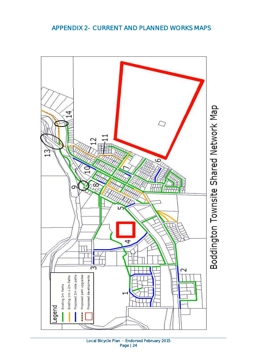